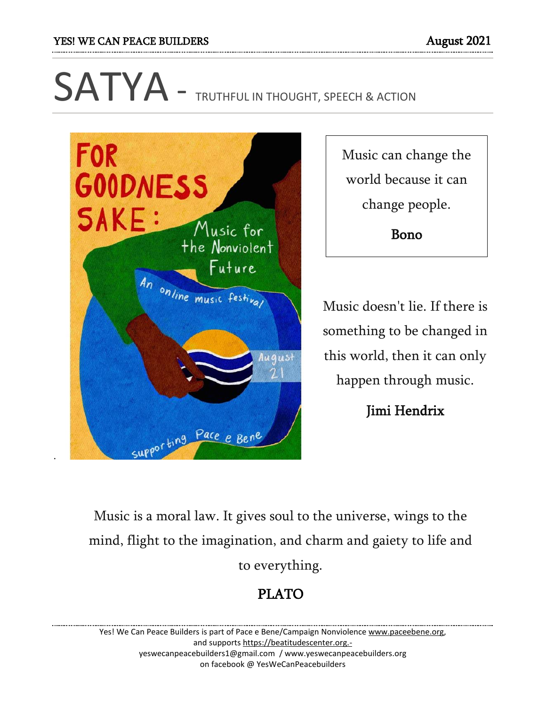# SATYA - TRUTHFUL IN THOUGHT, SPEECH & ACTION



Music can change the world because it can change people.

Bono

Music doesn't lie. If there is something to be changed in this world, then it can only happen through music.

Jimi Hendrix

Music is a moral law. It gives soul to the universe, wings to the mind, flight to the imagination, and charm and gaiety to life and to everything.

# PLATO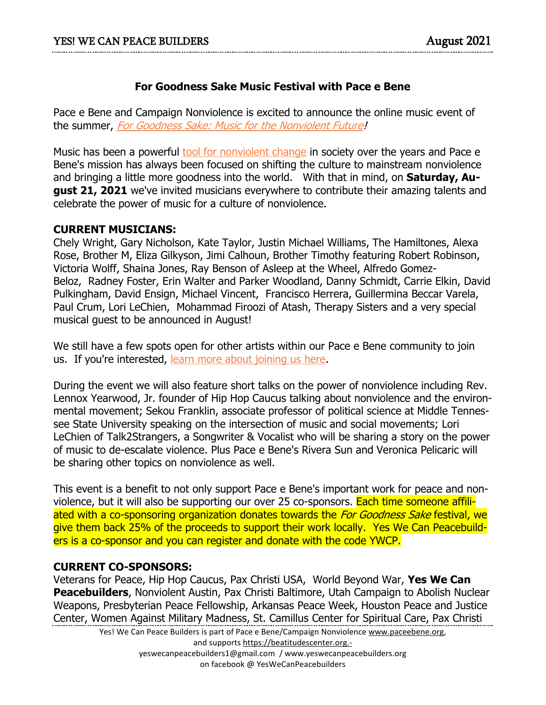#### **For Goodness Sake Music Festival with Pace e Bene**

Pace e Bene and Campaign Nonviolence is excited to announce the online music event of the summer, [For Goodness Sake: Music for the Nonviolent Future!](https://default.salsalabs.org/T0d88e251-3cba-4ea6-8899-c68d48096041/714f1aad-6c8b-4e2d-bb58-15651971e3e7)

Music has been a powerful [tool for nonviolent change](https://default.salsalabs.org/T3e5b0c52-b7b9-44b8-8685-7a4067543a22/714f1aad-6c8b-4e2d-bb58-15651971e3e7) in society over the years and Pace e Bene's mission has always been focused on shifting the culture to mainstream nonviolence and bringing a little more goodness into the world. With that in mind, on **Saturday, August 21, 2021** we've invited musicians everywhere to contribute their amazing talents and celebrate the power of music for a culture of nonviolence.

#### **CURRENT MUSICIANS:**

Chely Wright, Gary Nicholson, Kate Taylor, Justin Michael Williams, The Hamiltones, Alexa Rose, Brother M, Eliza Gilkyson, Jimi Calhoun, Brother Timothy featuring Robert Robinson, Victoria Wolff, Shaina Jones, Ray Benson of Asleep at the Wheel, Alfredo Gomez-Beloz, Radney Foster, Erin Walter and Parker Woodland, Danny Schmidt, Carrie Elkin, David Pulkingham, David Ensign, Michael Vincent, Francisco Herrera, Guillermina Beccar Varela, Paul Crum, Lori LeChien, Mohammad Firoozi of Atash, Therapy Sisters and a very special musical guest to be announced in August!

We still have a few spots open for other artists within our Pace e Bene community to join us. If you're interested, [learn more about joining us here.](https://default.salsalabs.org/Te57f0887-c4c6-42d6-95da-19bc212e492a/714f1aad-6c8b-4e2d-bb58-15651971e3e7)

During the event we will also feature short talks on the power of nonviolence including Rev. Lennox Yearwood, Jr. founder of Hip Hop Caucus talking about nonviolence and the environmental movement; Sekou Franklin, associate professor of political science at Middle Tennessee State University speaking on the intersection of music and social movements; Lori LeChien of Talk2Strangers, a Songwriter & Vocalist who will be sharing a story on the power of music to de-escalate violence. Plus Pace e Bene's Rivera Sun and Veronica Pelicaric will be sharing other topics on nonviolence as well.

This event is a benefit to not only support Pace e Bene's important work for peace and nonviolence, but it will also be supporting our over 25 co-sponsors. Each time someone affiliated with a co-sponsoring organization donates towards the *For Goodness Sake* festival, we give them back 25% of the proceeds to support their work locally. Yes We Can Peacebuilders is a co-sponsor and you can register and donate with the code YWCP.

#### **CURRENT CO-SPONSORS:**

Veterans for Peace, Hip Hop Caucus, Pax Christi USA, World Beyond War, **Yes We Can Peacebuilders**, Nonviolent Austin, Pax Christi Baltimore, Utah Campaign to Abolish Nuclear Weapons, Presbyterian Peace Fellowship, Arkansas Peace Week, Houston Peace and Justice Center, Women Against Military Madness, St. Camillus Center for Spiritual Care, Pax Christi